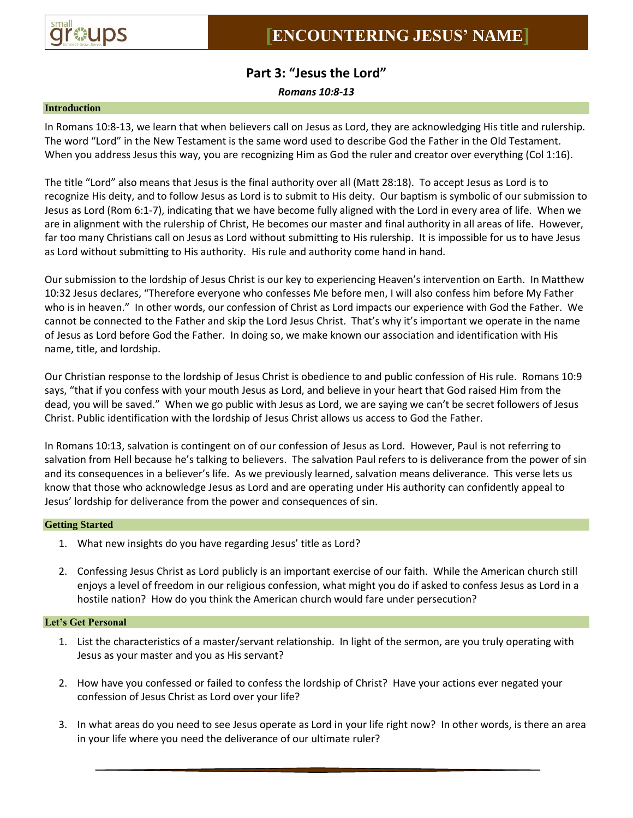

# **Part 3: "Jesus the Lord"**

*Romans 10:8-13*

## **Introduction**

In Romans 10:8-13, we learn that when believers call on Jesus as Lord, they are acknowledging His title and rulership. The word "Lord" in the New Testament is the same word used to describe God the Father in the Old Testament. When you address Jesus this way, you are recognizing Him as God the ruler and creator over everything (Col 1:16).

The title "Lord" also means that Jesus is the final authority over all (Matt 28:18). To accept Jesus as Lord is to recognize His deity, and to follow Jesus as Lord is to submit to His deity. Our baptism is symbolic of our submission to Jesus as Lord (Rom 6:1-7), indicating that we have become fully aligned with the Lord in every area of life. When we are in alignment with the rulership of Christ, He becomes our master and final authority in all areas of life. However, far too many Christians call on Jesus as Lord without submitting to His rulership. It is impossible for us to have Jesus as Lord without submitting to His authority. His rule and authority come hand in hand.

Our submission to the lordship of Jesus Christ is our key to experiencing Heaven's intervention on Earth. In Matthew 10:32 Jesus declares, "Therefore everyone who confesses Me before men, I will also confess him before My Father who is in heaven." In other words, our confession of Christ as Lord impacts our experience with God the Father. We cannot be connected to the Father and skip the Lord Jesus Christ. That's why it's important we operate in the name of Jesus as Lord before God the Father. In doing so, we make known our association and identification with His name, title, and lordship.

Our Christian response to the lordship of Jesus Christ is obedience to and public confession of His rule. Romans 10:9 says, "that if you confess with your mouth Jesus as Lord, and believe in your heart that God raised Him from the dead, you will be saved." When we go public with Jesus as Lord, we are saying we can't be secret followers of Jesus Christ. Public identification with the lordship of Jesus Christ allows us access to God the Father.

In Romans 10:13, salvation is contingent on of our confession of Jesus as Lord. However, Paul is not referring to salvation from Hell because he's talking to believers. The salvation Paul refers to is deliverance from the power of sin and its consequences in a believer's life. As we previously learned, salvation means deliverance. This verse lets us know that those who acknowledge Jesus as Lord and are operating under His authority can confidently appeal to Jesus' lordship for deliverance from the power and consequences of sin.

## **Getting Started**

- 1. What new insights do you have regarding Jesus' title as Lord?
- 2. Confessing Jesus Christ as Lord publicly is an important exercise of our faith. While the American church still enjoys a level of freedom in our religious confession, what might you do if asked to confess Jesus as Lord in a hostile nation? How do you think the American church would fare under persecution?

### **Let's Get Personal**

- 1. List the characteristics of a master/servant relationship. In light of the sermon, are you truly operating with Jesus as your master and you as His servant?
- 2. How have you confessed or failed to confess the lordship of Christ? Have your actions ever negated your confession of Jesus Christ as Lord over your life?
- 3. In what areas do you need to see Jesus operate as Lord in your life right now? In other words, is there an area in your life where you need the deliverance of our ultimate ruler?